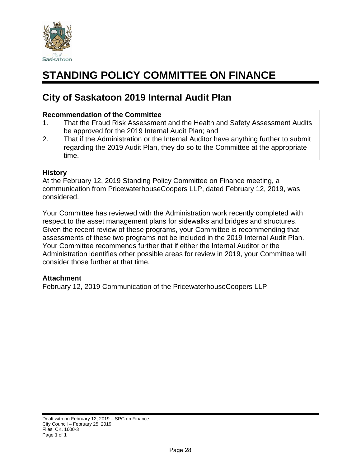

## **STANDING POLICY COMMITTEE ON FINANCE**

#### **City of Saskatoon 2019 Internal Audit Plan**

#### **Recommendation of the Committee**

- 1. That the Fraud Risk Assessment and the Health and Safety Assessment Audits be approved for the 2019 Internal Audit Plan; and
- 2. That if the Administration or the Internal Auditor have anything further to submit regarding the 2019 Audit Plan, they do so to the Committee at the appropriate time.

#### **History**

At the February 12, 2019 Standing Policy Committee on Finance meeting, a communication from PricewaterhouseCoopers LLP, dated February 12, 2019, was considered.

Your Committee has reviewed with the Administration work recently completed with respect to the asset management plans for sidewalks and bridges and structures. Given the recent review of these programs, your Committee is recommending that assessments of these two programs not be included in the 2019 Internal Audit Plan. Your Committee recommends further that if either the Internal Auditor or the Administration identifies other possible areas for review in 2019, your Committee will consider those further at that time.

#### **Attachment**

February 12, 2019 Communication of the PricewaterhouseCoopers LLP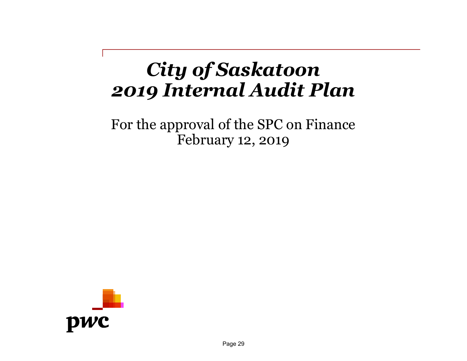## *City of Saskatoon 2019 Internal Audit Plan*

For the approval of the SPC on Finance February 12, 2019

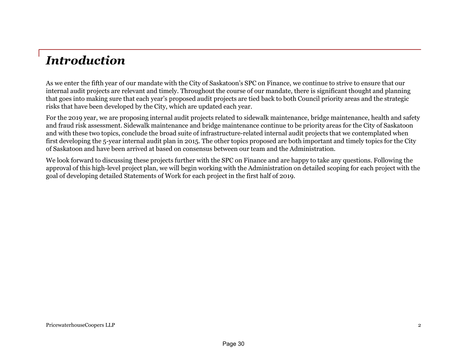## *Introduction*

As we enter the fifth year of our mandate with the City of Saskatoon's SPC on Finance, we continue to strive to ensure that our internal audit projects are relevant and timely. Throughout the course of our mandate, there is significant thought and planning that goes into making sure that each year's proposed audit projects are tied back to both Council priority areas and the strategic risks that have been developed by the City, which are updated each year.

For the 2019 year, we are proposing internal audit projects related to sidewalk maintenance, bridge maintenance, health and safety and fraud risk assessment. Sidewalk maintenance and bridge maintenance continue to be priority areas for the City of Saskatoon and with these two topics, conclude the broad suite of infrastructure-related internal audit projects that we contemplated when first developing the 5-year internal audit plan in 2015. The other topics proposed are both important and timely topics for the City of Saskatoon and have been arrived at based on consensus between our team and the Administration.

We look forward to discussing these projects further with the SPC on Finance and are happy to take any questions. Following the approval of this high-level project plan, we will begin working with the Administration on detailed scoping for each project with the goal of developing detailed Statements of Work for each project in the first half of 2019.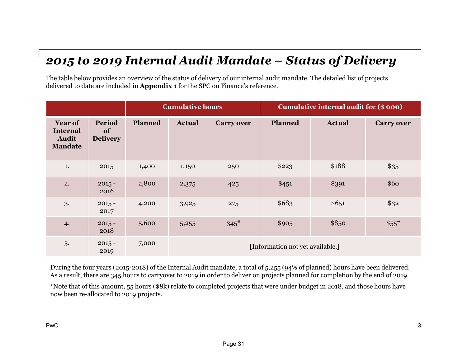## *2015 to 2019 Internal Audit Mandate – Status of Delivery*

The table below provides an overview of the status of delivery of our internal audit mandate. The detailed list of projects delivered to date are included in **Appendix 1** for the SPC on Finance's reference.

|                                                                     |                                 | <b>Cumulative hours</b> |               | Cumulative internal audit fee (\$ 000) |                                  |               |                   |
|---------------------------------------------------------------------|---------------------------------|-------------------------|---------------|----------------------------------------|----------------------------------|---------------|-------------------|
| <b>Year of</b><br><b>Internal</b><br><b>Audit</b><br><b>Mandate</b> | Period<br>of<br><b>Delivery</b> | Planned                 | <b>Actual</b> | <b>Carry over</b>                      | <b>Planned</b>                   | <b>Actual</b> | <b>Carry over</b> |
| 1.                                                                  | 2015                            | 1,400                   | 1,150         | 250                                    | \$223                            | \$188         | \$35              |
| 2.                                                                  | $2015 -$<br>2016                | 2,800                   | 2,375         | 425                                    | \$451                            | \$391         | \$60              |
| 3.                                                                  | $2015 -$<br>2017                | 4,200                   | 3,925         | 275                                    | \$683                            | \$651         | \$32              |
| 4.                                                                  | $2015 -$<br>2018                | 5,600                   | 5,255         | $345*$                                 | \$905                            | \$850         | $$55^*$           |
| 5.                                                                  | $2015 -$<br>2019                | 7,000                   |               |                                        | [Information not yet available.] |               |                   |

During the four years (2015-2018) of the Internal Audit mandate, a total of 5,255 (94% of planned) hours have been delivered. As a result, there are 345 hours to carryover to 2019 in order to deliver on projects planned for completion by the end of 2019.

\*Note that of this amount, 55 hours (\$8k) relate to completed projects that were under budget in 2018, and those hours have now been re-allocated to 2019 projects.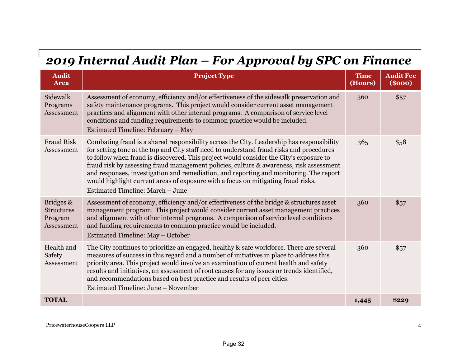## *2019 Internal Audit Plan – For Approval by SPC on Finance*

| <b>Audit</b><br><b>Area</b>                             | <b>Project Type</b>                                                                                                                                                                                                                                                                                                                                                                                                                                                                                                                                                                           | <b>Time</b><br>(Hours) | <b>Audit Fee</b><br>( <b>8000</b> ) |
|---------------------------------------------------------|-----------------------------------------------------------------------------------------------------------------------------------------------------------------------------------------------------------------------------------------------------------------------------------------------------------------------------------------------------------------------------------------------------------------------------------------------------------------------------------------------------------------------------------------------------------------------------------------------|------------------------|-------------------------------------|
| Sidewalk<br>Programs<br>Assessment                      | Assessment of economy, efficiency and/or effectiveness of the sidewalk preservation and<br>safety maintenance programs. This project would consider current asset management<br>practices and alignment with other internal programs. A comparison of service level<br>conditions and funding requirements to common practice would be included.<br>Estimated Timeline: February - May                                                                                                                                                                                                        | 360                    | \$57                                |
| <b>Fraud Risk</b><br>Assessment                         | Combating fraud is a shared responsibility across the City. Leadership has responsibility<br>for setting tone at the top and City staff need to understand fraud risks and procedures<br>to follow when fraud is discovered. This project would consider the City's exposure to<br>fraud risk by assessing fraud management policies, culture & awareness, risk assessment<br>and responses, investigation and remediation, and reporting and monitoring. The report<br>would highlight current areas of exposure with a focus on mitigating fraud risks.<br>Estimated Timeline: March - June | 365                    | \$58                                |
| Bridges &<br><b>Structures</b><br>Program<br>Assessment | Assessment of economy, efficiency and/or effectiveness of the bridge & structures asset<br>management program. This project would consider current asset management practices<br>and alignment with other internal programs. A comparison of service level conditions<br>and funding requirements to common practice would be included.<br>Estimated Timeline: May – October                                                                                                                                                                                                                  | 360                    | \$57                                |
| Health and<br>Safety<br>Assessment                      | The City continues to prioritize an engaged, healthy & safe workforce. There are several<br>measures of success in this regard and a number of initiatives in place to address this<br>priority area. This project would involve an examination of current health and safety<br>results and initiatives, an assessment of root causes for any issues or trends identified,<br>and recommendations based on best practice and results of peer cities.<br>Estimated Timeline: June – November                                                                                                   | 360                    | \$57                                |
| <b>TOTAL</b>                                            |                                                                                                                                                                                                                                                                                                                                                                                                                                                                                                                                                                                               | 1,445                  | \$229                               |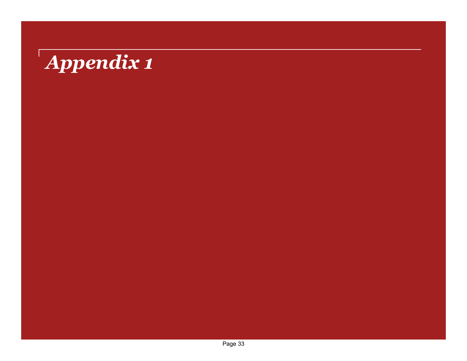# *Appendix 1*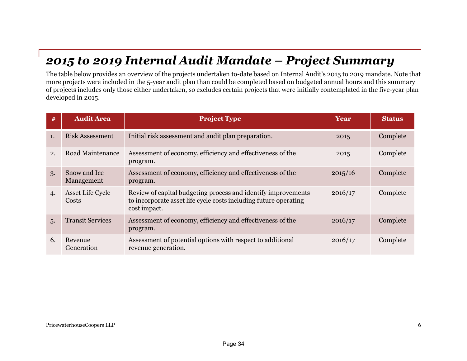### *2015 to 2019 Internal Audit Mandate – Project Summary*

The table below provides an overview of the projects undertaken to-date based on Internal Audit's 2015 to 2019 mandate. Note that more projects were included in the 5-year audit plan than could be completed based on budgeted annual hours and this summary of projects includes only those either undertaken, so excludes certain projects that were initially contemplated in the five-year plan developed in 2015.

| #  | <b>Audit Area</b>          | <b>Project Type</b>                                                                                                                               | Year    | <b>Status</b> |
|----|----------------------------|---------------------------------------------------------------------------------------------------------------------------------------------------|---------|---------------|
| 1. | <b>Risk Assessment</b>     | Initial risk assessment and audit plan preparation.                                                                                               | 2015    | Complete      |
| 2. | Road Maintenance           | Assessment of economy, efficiency and effectiveness of the<br>program.                                                                            | 2015    | Complete      |
| 3. | Snow and Ice<br>Management | Assessment of economy, efficiency and effectiveness of the<br>program.                                                                            | 2015/16 | Complete      |
| 4. | Asset Life Cycle<br>Costs  | Review of capital budgeting process and identify improvements<br>to incorporate asset life cycle costs including future operating<br>cost impact. | 2016/17 | Complete      |
| 5. | <b>Transit Services</b>    | Assessment of economy, efficiency and effectiveness of the<br>program.                                                                            | 2016/17 | Complete      |
| 6. | Revenue<br>Generation      | Assessment of potential options with respect to additional<br>revenue generation.                                                                 | 2016/17 | Complete      |